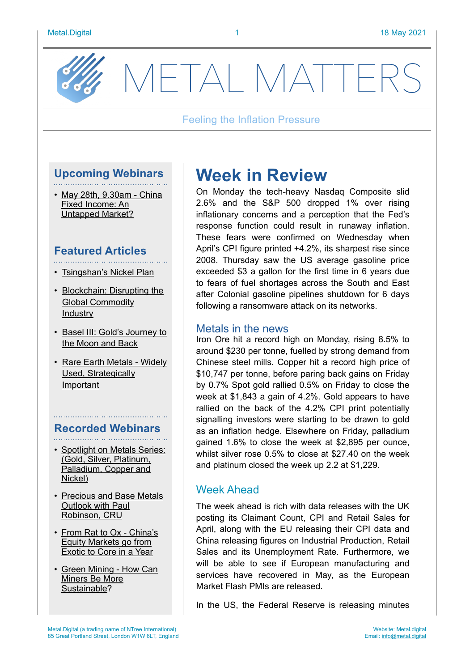

METAL MATTFF

#### Feeling the Inflation Pressure

# **Upcoming Webinars**

• [May 28th, 9.30am - China](https://www.brighttalk.com/webcast/17849/473879)  [Fixed Income: An](https://www.brighttalk.com/webcast/17849/473879)  [Untapped Market?](https://www.brighttalk.com/webcast/17849/473879)

### **Featured Articles**

- [Tsingshan's Nickel Plan](https://metal.digital/articles/tsingshan)
- [Blockchain: Disrupting the](https://metal.digital/articles/blockchain-disruptive-tech)  [Global Commodity](https://metal.digital/articles/blockchain-disruptive-tech)  [Industry](https://metal.digital/articles/blockchain-disruptive-tech)
- [Basel III: Gold's Journey to](https://metal.digital/articles/basel-iii)  [the Moon and Back](https://metal.digital/articles/basel-iii)
- [Rare Earth Metals Widely](https://metal.digital/articles/rare-earth-metals)  [Used, Strategically](https://metal.digital/articles/rare-earth-metals)  [Important](https://metal.digital/articles/rare-earth-metals)

### **Recorded Webinars**

- [Spotlight on Metals Series:](https://www.brighttalk.com/channel/17849/)  [\(Gold, Silver, Platinum,](https://www.brighttalk.com/channel/17849/)  [Palladium, Copper and](https://www.brighttalk.com/channel/17849/)  [Nickel\)](https://www.brighttalk.com/channel/17849/)
- [Precious and Base Metals](https://www.brighttalk.com/webcast/17849/479689)  [Outlook with Paul](https://www.brighttalk.com/webcast/17849/479689)  [Robinson, CRU](https://www.brighttalk.com/webcast/17849/479689)
- From Rat to Ox China's [Equity Markets go from](https://www.brighttalk.com/webcast/17849/473459)  [Exotic to Core in a Year](https://www.brighttalk.com/webcast/17849/473459)
- [Green Mining How Can](https://www.brighttalk.com/webcast/17849/487746)  [Miners Be More](https://www.brighttalk.com/webcast/17849/487746)  [Sustainable?](https://www.brighttalk.com/webcast/17849/487746)

# **Week in Review**

On Monday the tech-heavy Nasdaq Composite slid 2.6% and the S&P 500 dropped 1% over rising inflationary concerns and a perception that the Fed's response function could result in runaway inflation. These fears were confirmed on Wednesday when April's CPI figure printed +4.2%, its sharpest rise since 2008. Thursday saw the US average gasoline price exceeded \$3 a gallon for the first time in 6 years due to fears of fuel shortages across the South and East after Colonial gasoline pipelines shutdown for 6 days following a ransomware attack on its networks.

### Metals in the news

Iron Ore hit a record high on Monday, rising 8.5% to around \$230 per tonne, fuelled by strong demand from Chinese steel mills. Copper hit a record high price of \$10,747 per tonne, before paring back gains on Friday by 0.7% Spot gold rallied 0.5% on Friday to close the week at \$1,843 a gain of 4.2%. Gold appears to have rallied on the back of the 4.2% CPI print potentially signalling investors were starting to be drawn to gold as an inflation hedge. Elsewhere on Friday, palladium gained 1.6% to close the week at \$2,895 per ounce, whilst silver rose 0.5% to close at \$27.40 on the week and platinum closed the week up 2.2 at \$1,229.

### Week Ahead

The week ahead is rich with data releases with the UK posting its Claimant Count, CPI and Retail Sales for April, along with the EU releasing their CPI data and China releasing figures on Industrial Production, Retail Sales and its Unemployment Rate. Furthermore, we will be able to see if European manufacturing and services have recovered in May, as the European Market Flash PMIs are released.

In the US, the Federal Reserve is releasing minutes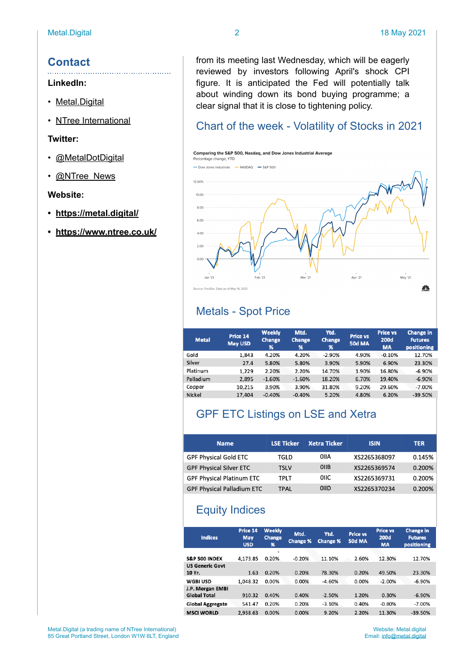### **Contact**

#### **LinkedIn:**

- [Metal.Digital](https://www.linkedin.com/company/metal-digital/)
- [NTree International](https://www.linkedin.com/company/11155595/)

#### **Twitter:**

- [@MetalDotDigital](https://twitter.com/MetaldotDigital)
- [@NTree\\_News](https://twitter.com/ntree_news)

#### **Website:**

- **• <https://metal.digital/>**
- **• <https://www.ntree.co.uk/>**

from its meeting last Wednesday, which will be eagerly reviewed by investors following April's shock CPI figure. It is anticipated the Fed will potentially talk about winding down its bond buying programme; a clear signal that it is close to tightening policy.

### Chart of the week - Volatility of Stocks in 2021



# Metals - Spot Price

| <b>Metal</b> | Price 14<br><b>May USD</b> | Weekly<br>Change<br>% | Mtd.<br>Change<br>$\frac{96}{2}$ | Ytd.<br>Change<br>% | <b>Price vs</b><br><b>50d MA</b> | <b>Price vs</b><br><b>200d</b><br><b>MA</b> | <b>Change in</b><br><b>Futures</b><br>positioning |
|--------------|----------------------------|-----------------------|----------------------------------|---------------------|----------------------------------|---------------------------------------------|---------------------------------------------------|
| Gold         | 1.843                      | 4.20%                 | 4.20%                            | $-2.90%$            | 4.90%                            | $-0.10%$                                    | 12.70%                                            |
| Silver       | 27.4                       | 5.80%                 | 5.80%                            | 3.90%               | 5.90%                            | 6.90%                                       | 23.30%                                            |
| Platinum     | 1,229                      | 2.20%                 | 2.20%                            | 14.70%              | 1.90%                            | 16.80%                                      | $-6.90%$                                          |
| Palladium    | 2.895                      | $-1.60%$              | $-1.60%$                         | 18.20%              | 6.70%                            | 19.40%                                      | $-6.90%$                                          |
| Copper       | 10.215                     | 3.90%                 | 3.90%                            | 31.80%              | 9.20%                            | 29.60%                                      | $-7.00%$                                          |
| Nickel       | 17,404                     | $-0.40%$              | $-0.40%$                         | 5.20%               | 4.80%                            | 6.20%                                       | $-39.50%$                                         |

# GPF ETC Listings on LSE and Xetra

| <b>Name</b>                       | <b>LSE Ticker</b> | <b>Xetra Ticker</b> | <b>ISIN</b>  | <b>TER</b> |
|-----------------------------------|-------------------|---------------------|--------------|------------|
| <b>GPF Physical Gold ETC</b>      | TGLD              | OIIA                | XS2265368097 | 0.145%     |
| <b>GPF Physical Silver ETC</b>    | TSLV              | OIIB                | XS2265369574 | 0.200%     |
| <b>GPF Physical Platinum ETC</b>  | tplt              | <b>OIIC</b>         | XS2265369731 | 0.200%     |
| <b>GPF Physical Palladium ETC</b> | TPAL              | <b>OIID</b>         | XS2265370234 | 0.200%     |

# Equity Indices

| <b>Indices</b>           | Price 14<br>May<br><b>USD</b> | <b>Weekly</b><br><b>Change</b><br>% | Mtd.<br><b>Change %</b> | Ytd.<br><b>Change %</b> | <b>Price vs</b><br><b>50d MA</b> | <b>Price vs</b><br><b>200d</b><br><b>MA</b> | <b>Change in</b><br><b>Futures</b><br><b>positioning</b> |
|--------------------------|-------------------------------|-------------------------------------|-------------------------|-------------------------|----------------------------------|---------------------------------------------|----------------------------------------------------------|
|                          |                               |                                     |                         |                         |                                  |                                             |                                                          |
| <b>S&amp;P 500 INDEX</b> | 4.173.85                      | 0.20%                               | $-0.20%$                | 11.10%                  | 2.60%                            | 12.30%                                      | 12.70%                                                   |
| <b>US Generic Govt</b>   |                               |                                     |                         |                         |                                  |                                             |                                                          |
| 10 Yr.                   | 1.63                          | 0.20%                               | 0.20%                   | 78.30%                  | 0.20%                            | 49.50%                                      | 23.30%                                                   |
| <b>WGBI USD</b>          | 1.048.32                      | 0.00%                               | 0.00%                   | $-4.60%$                | 0.00%                            | $-2.00%$                                    | $-6.90%$                                                 |
| J.P. Morgan EMBI         |                               |                                     |                         |                         |                                  |                                             |                                                          |
| <b>Global Total</b>      | 910.32                        | 0.40%                               | 0.40%                   | $-2.50%$                | 1.20%                            | 0.30%                                       | $-6.90%$                                                 |
| <b>Global Aggregate</b>  | 541.47                        | 0.20%                               | 0.20%                   | $-3.10%$                | 0.40%                            | $-0.80%$                                    | $-7.00%$                                                 |
| <b>MSCI WORLD</b>        | 2.938.63                      | 0.00%                               | 0.00%                   | 9.20%                   | 2.20%                            | 11.30%                                      | $-39.50%$                                                |